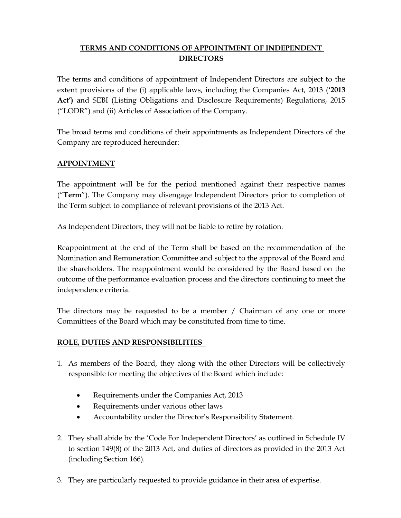# TERMS AND CONDITIONS OF APPOINTMENT OF INDEPENDENT DIRECTORS

The terms and conditions of appointment of Independent Directors are subject to the extent provisions of the (i) applicable laws, including the Companies Act, 2013 ('2013 Act') and SEBI (Listing Obligations and Disclosure Requirements) Regulations, 2015 ("LODR") and (ii) Articles of Association of the Company.

The broad terms and conditions of their appointments as Independent Directors of the Company are reproduced hereunder:

# APPOINTMENT

The appointment will be for the period mentioned against their respective names ("Term"). The Company may disengage Independent Directors prior to completion of the Term subject to compliance of relevant provisions of the 2013 Act.

As Independent Directors, they will not be liable to retire by rotation.

Reappointment at the end of the Term shall be based on the recommendation of the Nomination and Remuneration Committee and subject to the approval of the Board and the shareholders. The reappointment would be considered by the Board based on the outcome of the performance evaluation process and the directors continuing to meet the independence criteria.

The directors may be requested to be a member / Chairman of any one or more Committees of the Board which may be constituted from time to time.

# ROLE, DUTIES AND RESPONSIBILITIES

- 1. As members of the Board, they along with the other Directors will be collectively responsible for meeting the objectives of the Board which include:
	- Requirements under the Companies Act, 2013
	- Requirements under various other laws
	- Accountability under the Director's Responsibility Statement.
- 2. They shall abide by the 'Code For Independent Directors' as outlined in Schedule IV to section 149(8) of the 2013 Act, and duties of directors as provided in the 2013 Act (including Section 166).
- 3. They are particularly requested to provide guidance in their area of expertise.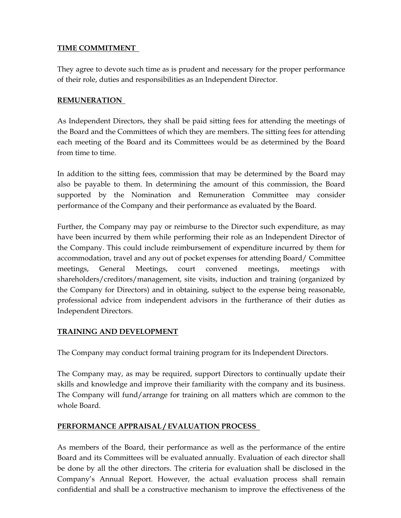## TIME COMMITMENT

They agree to devote such time as is prudent and necessary for the proper performance of their role, duties and responsibilities as an Independent Director.

### REMUNERATION

As Independent Directors, they shall be paid sitting fees for attending the meetings of the Board and the Committees of which they are members. The sitting fees for attending each meeting of the Board and its Committees would be as determined by the Board from time to time.

In addition to the sitting fees, commission that may be determined by the Board may also be payable to them. In determining the amount of this commission, the Board supported by the Nomination and Remuneration Committee may consider performance of the Company and their performance as evaluated by the Board.

Further, the Company may pay or reimburse to the Director such expenditure, as may have been incurred by them while performing their role as an Independent Director of the Company. This could include reimbursement of expenditure incurred by them for accommodation, travel and any out of pocket expenses for attending Board/ Committee meetings, General Meetings, court convened meetings, meetings with shareholders/creditors/management, site visits, induction and training (organized by the Company for Directors) and in obtaining, subject to the expense being reasonable, professional advice from independent advisors in the furtherance of their duties as Independent Directors.

#### TRAINING AND DEVELOPMENT

The Company may conduct formal training program for its Independent Directors.

The Company may, as may be required, support Directors to continually update their skills and knowledge and improve their familiarity with the company and its business. The Company will fund/arrange for training on all matters which are common to the whole Board.

# PERFORMANCE APPRAISAL / EVALUATION PROCESS

As members of the Board, their performance as well as the performance of the entire Board and its Committees will be evaluated annually. Evaluation of each director shall be done by all the other directors. The criteria for evaluation shall be disclosed in the Company's Annual Report. However, the actual evaluation process shall remain confidential and shall be a constructive mechanism to improve the effectiveness of the